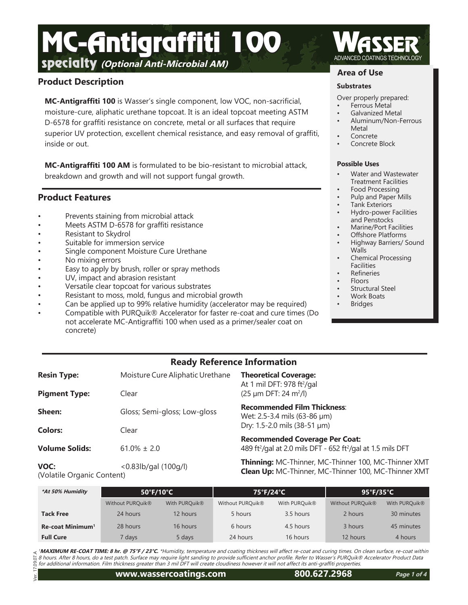# **Specialty** (Optional Anti-Microbial AM) MC-Antigraffiti 100

# **Product Description**

**MC-Antigraffiti 100** is Wasser's single component, low VOC, non-sacrificial, moisture-cure, aliphatic urethane topcoat. It is an ideal topcoat meeting ASTM D-6578 for graffiti resistance on concrete, metal or all surfaces that require superior UV protection, excellent chemical resistance, and easy removal of graffiti, inside or out.

**MC-Antigraffiti 100 AM** is formulated to be bio-resistant to microbial attack, breakdown and growth and will not support fungal growth.

# **Product Features**

- Prevents staining from microbial attack
- Meets ASTM D-6578 for graffiti resistance
- Resistant to Skydrol
- Suitable for immersion service
- Single component Moisture Cure Urethane
- No mixing errors
- Easy to apply by brush, roller or spray methods
- UV, impact and abrasion resistant
- Versatile clear topcoat for various substrates
- Resistant to moss, mold, fungus and microbial growth
- Can be applied up to 99% relative humidity (accelerator may be required)
- Compatible with PURQuik® Accelerator for faster re-coat and cure times (Do not accelerate MC-Antigraffiti 100 when used as a primer/sealer coat on concrete)

# **Ready Reference Information**

| <b>Resin Type:</b>    | Moisture Cure Aliphatic Urethane | <b>Theoretical Coverage:</b><br>At 1 mil DFT: 978 ft <sup>2</sup> /gal                                                       |  |
|-----------------------|----------------------------------|------------------------------------------------------------------------------------------------------------------------------|--|
| <b>Pigment Type:</b>  | Clear                            | $(25 \mu m$ DFT: 24 m <sup>2</sup> /l)                                                                                       |  |
| Sheen:                | Gloss; Semi-gloss; Low-gloss     | <b>Recommended Film Thickness:</b><br>Wet: 2.5-3.4 mils (63-86 µm)                                                           |  |
| <b>Colors:</b>        | Clear                            | Dry: 1.5-2.0 mils (38-51 µm)                                                                                                 |  |
| <b>Volume Solids:</b> | $61.0\% \pm 2.0$                 | <b>Recommended Coverage Per Coat:</b><br>489 ft <sup>2</sup> /gal at 2.0 mils DFT - 652 ft <sup>2</sup> /gal at 1.5 mils DFT |  |
| VOC:<br>$A \cup A$    | $< 0.83$ lb/gal $(100q/l)$       | Thinning: MC-Thinner, MC-Thinner 100, MC-Thinner XMT<br><b>Clean Up:</b> MC-Thinner, MC-Thinner 100, MC-Thinner XMT          |  |

(Volatile Organic Content)

Ľ

| *At 50% Humidity             | $50^{\circ}$ F/10 $^{\circ}$ C |               | 75°F/24°C        |               | 95°F/35°C        |                           |
|------------------------------|--------------------------------|---------------|------------------|---------------|------------------|---------------------------|
|                              | Without PURQuik <sup>®</sup>   | With PURQuik® | Without PURQuik® | With PURQuik® | Without PURQuik® | With PURQuik <sup>®</sup> |
| <b>Tack Free</b>             | 24 hours                       | 12 hours      | 5 hours          | 3.5 hours     | 2 hours          | 30 minutes                |
| Re-coat Minimum <sup>1</sup> | 28 hours                       | 16 hours      | 6 hours          | 4.5 hours     | 3 hours          | 45 minutes                |
| <b>Full Cure</b>             | 7 davs                         | 5 days        | 24 hours         | 16 hours      | 12 hours         | 4 hours                   |

<sup>1</sup>**MAXIMUM RE-COAT TIME: 8 hr. @ 75°F / 23°C.** \*Humidity, temperature and coating thickness will affect re-coat and curing times. On clean surface, re-coat within<br>8 hours. After 8 hours, do a test patch. Surface may requi for additional information. Film thickness greater than 3 mil DFT will create cloudiness however it will not affect its anti-graffiti properties. Ver. 17.09.07.A

# **Area of Use**

## **Substrates**

- Over properly prepared:
- Ferrous Metal
- Galvanized Metal
- Aluminum/Non-Ferrous Metal
- **Concrete**
- Concrete Block

## **Possible Uses**

- Water and Wastewater Treatment Facilities
- Food Processing
- Pulp and Paper Mills
- Tank Exteriors
- Hydro-power Facilities and Penstocks
- Marine/Port Facilities
- Offshore Platforms
- Highway Barriers/ Sound **Walls**
- Chemical Processing **Facilities**
- Refineries
- Floors
- Structural Steel
- Work Boats
- **Bridges**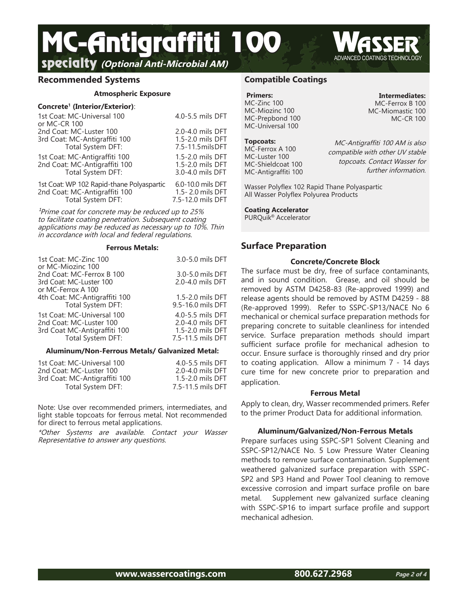**SPECIGITY** (Optional Anti-Microbial AM) Served Served COATINGS TECHNOLOGY MC-Antigraffiti 100

## **Recommended Systems**

#### **Atmospheric Exposure**

#### **Concrete<sup>1</sup> (Interior/Exterior)**:

| 1st Coat: MC-Universal 100<br>or MC-CR 100 | 4.0-5.5 mils DFT   |
|--------------------------------------------|--------------------|
| 2nd Coat: MC-Luster 100                    | 2.0-4.0 mils DFT   |
| 3rd Coat: MC-Antigraffiti 100              | 1.5-2.0 mils DFT   |
| Total System DFT:                          | 7.5-11.5 mils DFT  |
| 1st Coat: MC-Antigraffiti 100              | 1.5-2.0 mils DFT   |
| 2nd Coat: MC-Antigraffiti 100              | 1.5-2.0 mils DFT   |
| Total System DFT:                          | 3.0-4.0 mils DFT   |
| 1st Coat: WP 102 Rapid-thane Polyaspartic  | 6.0-10.0 mils DFT  |
| 2nd Coat: MC-Antigraffiti 100              | 1.5 - 2.0 mils DFT |
| Total System DFT:                          | 7.5-12.0 mils DFT  |

 $^{1}$ Prime coat for concrete may be reduced up to 25% to facilitate coating penetration. Subsequent coating applications may be reduced as necessary up to 10%. Thin in accordance with local and federal regulations.

#### **Ferrous Metals:**

| 1st Coat: MC-Zinc 100<br>or MC-Miozinc 100                                 | 3.0-5.0 mils DFT                     |
|----------------------------------------------------------------------------|--------------------------------------|
| 2nd Coat: MC-Ferrox B 100<br>3rd Coat: MC-Luster 100<br>or MC-Ferrox A 100 | 3.0-5.0 mils DFT<br>2.0-4.0 mils DFT |
| 4th Coat: MC-Antigraffiti 100                                              | 1.5-2.0 mils DFT                     |
| Total System DFT:                                                          | 9.5-16.0 mils DFT                    |
| 1st Coat: MC-Universal 100                                                 | 4.0-5.5 mils DFT                     |
| 2nd Coat: MC-Luster 100                                                    | 2.0-4.0 mils DFT                     |
| 3rd Coat MC-Antigraffiti 100                                               | 1.5-2.0 mils DFT                     |
| Total System DFT:                                                          | 7.5-11.5 mils DFT                    |

#### **Aluminum/Non-Ferrous Metals/ Galvanized Metal:**

| 1st Coat: MC-Universal 100    | 4.0-5.5 mils DFT  |
|-------------------------------|-------------------|
| 2nd Coat: MC-Luster 100       | 2.0-4.0 mils DFT  |
| 3rd Coat: MC-Antigraffiti 100 | 1.5-2.0 mils DFT  |
| Total System DFT:             | 7.5-11.5 mils DFT |

Note: Use over recommended primers, intermediates, and light stable topcoats for ferrous metal. Not recommended for direct to ferrous metal applications.

\*Other Systems are available. Contact your Wasser Representative to answer any questions.

# **Compatible Coatings**

#### **Primers:** MC-Zinc 100 MC-Miozinc 100 MC-Prepbond 100 MC-Universal 100

**Topcoats:** MC-Ferrox A 100 MC-Luster 100 MC-Shieldcoat 100 MC-Antigraffiti 100

MC-Antigraffiti 100 AM is also compatible with other UV stable topcoats. Contact Wasser for

Wasser Polyflex 102 Rapid Thane Polyaspartic All Wasser Polyflex Polyurea Products

## **Coating Accelerator**

PURQuik® Accelerator

# **Surface Preparation**

#### **Concrete/Concrete Block**

The surface must be dry, free of surface contaminants, and in sound condition. Grease, and oil should be removed by ASTM D4258-83 (Re-approved 1999) and release agents should be removed by ASTM D4259 - 88 (Re-approved 1999). Refer to SSPC-SP13/NACE No 6 mechanical or chemical surface preparation methods for preparing concrete to suitable cleanliness for intended service. Surface preparation methods should impart sufficient surface profile for mechanical adhesion to occur. Ensure surface is thoroughly rinsed and dry prior to coating application. Allow a minimum 7 - 14 days cure time for new concrete prior to preparation and application.

#### **Ferrous Metal**

Apply to clean, dry, Wasser recommended primers. Refer to the primer Product Data for additional information.

#### **Aluminum/Galvanized/Non-Ferrous Metals**

Prepare surfaces using SSPC-SP1 Solvent Cleaning and SSPC-SP12/NACE No. 5 Low Pressure Water Cleaning methods to remove surface contamination. Supplement weathered galvanized surface preparation with SSPC-SP2 and SP3 Hand and Power Tool cleaning to remove excessive corrosion and impart surface profile on bare metal. Supplement new galvanized surface cleaning with SSPC-SP16 to impart surface profile and support mechanical adhesion.

**Intermediates:** MC-Ferrox B 100 MC-Miomastic 100

further information.

MC-CR 100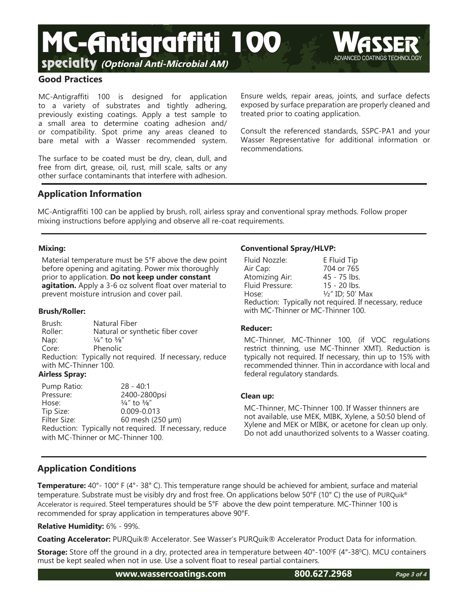



MC-Antigraffiti 100 is designed for application to a variety of substrates and tightly adhering, previously existing coatings. Apply a test sample to a small area to determine coating adhesion and/ or compatibility. Spot prime any areas cleaned to bare metal with a Wasser recommended system.

The surface to be coated must be dry, clean, dull, and free from dirt, grease, oil, rust, mill scale, salts or any other surface contaminants that interfere with adhesion.

Ensure welds, repair areas, joints, and surface defects exposed by surface preparation are properly cleaned and treated prior to coating application.

Consult the referenced standards, SSPC-PA1 and your Wasser Representative for additional information or recommendations.

# **Application Information**

MC-Antigraffiti 100 can be applied by brush, roll, airless spray and conventional spray methods. Follow proper mixing instructions before applying and observe all re-coat requirements.

# **Mixing:**

Material temperature must be 5°F above the dew point before opening and agitating. Power mix thoroughly prior to application. **Do not keep under constant agitation.** Apply a 3-6 oz solvent float over material to prevent moisture intrusion and cover pail.

## **Brush/Roller:**

Brush: Natural Fiber<br>Roller: Natural or syr Natural or synthetic fiber cover Nap:  $\frac{1}{4}$ " to  $\frac{3}{8}$ " Core: Phenolic Reduction: Typically not required. If necessary, reduce with MC-Thinner 100.

# **Airless Spray:**

Pump Ratio: 28 - 40:1 Pressure: 2400-2800psi Hose:  $\frac{1}{4}$ " to  $\frac{3}{8}$ "<br>Tip Size: 0.009-0.0  $0.009 - 0.013$ Filter Size: 60 mesh (250 µm) Reduction: Typically not required. If necessary, reduce with MC-Thinner or MC-Thinner 100.

# **Conventional Spray/HLVP:**

| Fluid Nozzle:                                           | E Fluid Tip                 |  |
|---------------------------------------------------------|-----------------------------|--|
| Air Cap:                                                | 704 or 765                  |  |
| Atomizing Air:                                          | 45 - 75 lbs.                |  |
| Fluid Pressure:                                         | 15 - 20 lbs.                |  |
| Hose:                                                   | $\frac{1}{2}$ " ID; 50' Max |  |
| Reduction: Typically not required. If necessary, reduce |                             |  |
| with MC-Thinner or MC-Thinner 100.                      |                             |  |

## **Reducer:**

MC-Thinner, MC-Thinner 100, (if VOC regulations restrict thinning, use MC-Thinner XMT). Reduction is typically not required. If necessary, thin up to 15% with recommended thinner. Thin in accordance with local and federal regulatory standards.

## **Clean up:**

MC-Thinner, MC-Thinner 100. If Wasser thinners are not available, use MEK, MIBK, Xylene, a 50:50 blend of Xylene and MEK or MIBK, or acetone for clean up only. Do not add unauthorized solvents to a Wasser coating.

# **Application Conditions**

**Temperature:** 40°- 100° F (4°- 38° C). This temperature range should be achieved for ambient, surface and material temperature. Substrate must be visibly dry and frost free. On applications below 50°F (10° C) the use of PURQuik® Accelerator is required. Steel temperatures should be 5°F above the dew point temperature. MC-Thinner 100 is recommended for spray application in temperatures above 90°F.

# **Relative Humidity:** 6% - 99%.

**Coating Accelerator:** PURQuik® Accelerator. See Wasser's PURQuik® Accelerator Product Data for information.

**Storage:** Store off the ground in a dry, protected area in temperature between 40°-100°F (4°-38°C). MCU containers must be kept sealed when not in use. Use a solvent float to reseal partial containers.

**www.wassercoatings.com 800.627.2968**

**Page 3 of 4**